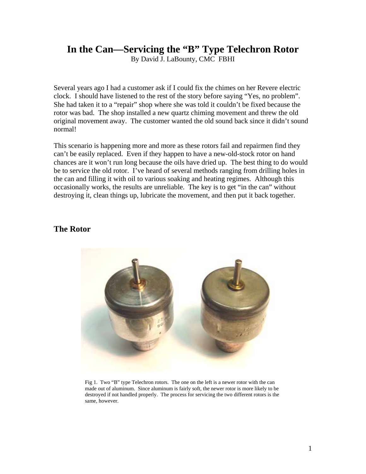# **In the Can—Servicing the "B" Type Telechron Rotor**

By David J. LaBounty, CMC FBHI

Several years ago I had a customer ask if I could fix the chimes on her Revere electric clock. I should have listened to the rest of the story before saying "Yes, no problem". She had taken it to a "repair" shop where she was told it couldn't be fixed because the rotor was bad. The shop installed a new quartz chiming movement and threw the old original movement away. The customer wanted the old sound back since it didn't sound normal!

This scenario is happening more and more as these rotors fail and repairmen find they can't be easily replaced. Even if they happen to have a new-old-stock rotor on hand chances are it won't run long because the oils have dried up. The best thing to do would be to service the old rotor. I've heard of several methods ranging from drilling holes in the can and filling it with oil to various soaking and heating regimes. Although this occasionally works, the results are unreliable. The key is to get "in the can" without destroying it, clean things up, lubricate the movement, and then put it back together.

#### **The Rotor**



Fig 1. Two "B" type Telechron rotors. The one on the left is a newer rotor with the can made out of aluminum. Since aluminum is fairly soft, the newer rotor is more likely to be destroyed if not handled properly. The process for servicing the two different rotors is the same, however.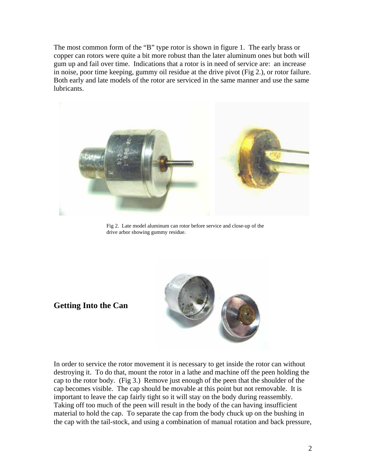The most common form of the "B" type rotor is shown in figure 1. The early brass or copper can rotors were quite a bit more robust than the later aluminum ones but both will gum up and fail over time. Indications that a rotor is in need of service are: an increase in noise, poor time keeping, gummy oil residue at the drive pivot (Fig 2.), or rotor failure. Both early and late models of the rotor are serviced in the same manner and use the same lubricants.



Fig 2. Late model aluminum can rotor before service and close-up of the drive arbor showing gummy residue.

# **Getting Into the Can**



In order to service the rotor movement it is necessary to get inside the rotor can without destroying it. To do that, mount the rotor in a lathe and machine off the peen holding the cap to the rotor body. (Fig 3.) Remove just enough of the peen that the shoulder of the cap becomes visible. The cap should be movable at this point but not removable. It is important to leave the cap fairly tight so it will stay on the body during reassembly. Taking off too much of the peen will result in the body of the can having insufficient material to hold the cap. To separate the cap from the body chuck up on the bushing in the cap with the tail-stock, and using a combination of manual rotation and back pressure,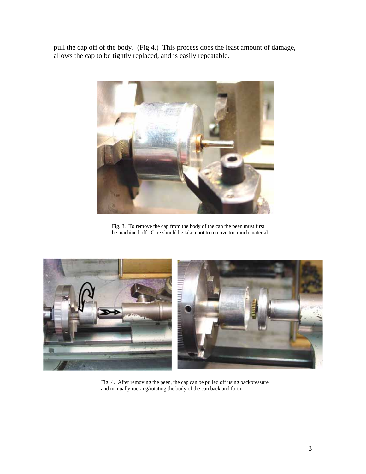pull the cap off of the body. (Fig 4.) This process does the least amount of damage, allows the cap to be tightly replaced, and is easily repeatable.



Fig. 3. To remove the cap from the body of the can the peen must first be machined off. Care should be taken not to remove too much material.



Fig. 4. After removing the peen, the cap can be pulled off using backpressure and manually rocking/rotating the body of the can back and forth.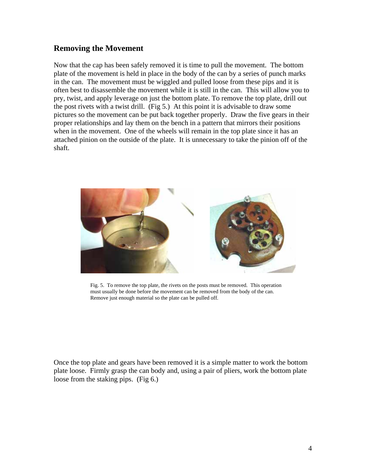### **Removing the Movement**

Now that the cap has been safely removed it is time to pull the movement. The bottom plate of the movement is held in place in the body of the can by a series of punch marks in the can. The movement must be wiggled and pulled loose from these pips and it is often best to disassemble the movement while it is still in the can. This will allow you to pry, twist, and apply leverage on just the bottom plate. To remove the top plate, drill out the post rivets with a twist drill. (Fig 5.) At this point it is advisable to draw some pictures so the movement can be put back together properly. Draw the five gears in their proper relationships and lay them on the bench in a pattern that mirrors their positions when in the movement. One of the wheels will remain in the top plate since it has an attached pinion on the outside of the plate. It is unnecessary to take the pinion off of the shaft.



Fig. 5. To remove the top plate, the rivets on the posts must be removed. This operation must usually be done before the movement can be removed from the body of the can. Remove just enough material so the plate can be pulled off.

Once the top plate and gears have been removed it is a simple matter to work the bottom plate loose. Firmly grasp the can body and, using a pair of pliers, work the bottom plate loose from the staking pips. (Fig 6.)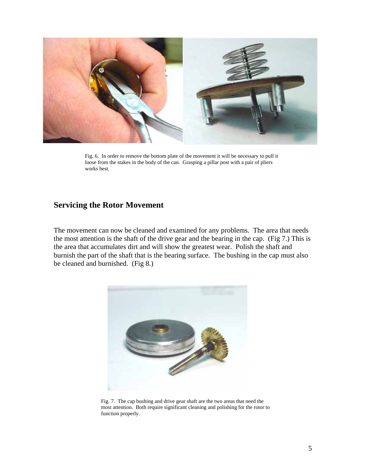

Fig. 6. In order to remove the bottom plate of the movement it will be necessary to pull it loose from the stakes in the body of the can. Grasping a pillar post with a pair of pliers works best.

## **Servicing the Rotor Movement**

The movement can now be cleaned and examined for any problems. The area that needs the most attention is the shaft of the drive gear and the bearing in the cap. (Fig 7.) This is the area that accumulates dirt and will show the greatest wear. Polish the shaft and burnish the part of the shaft that is the bearing surface. The bushing in the cap must also be cleaned and burnished. (Fig 8.)



Fig. 7. The cap bushing and drive gear shaft are the two areas that need the most attention. Both require significant cleaning and polishing for the rotor to function properly.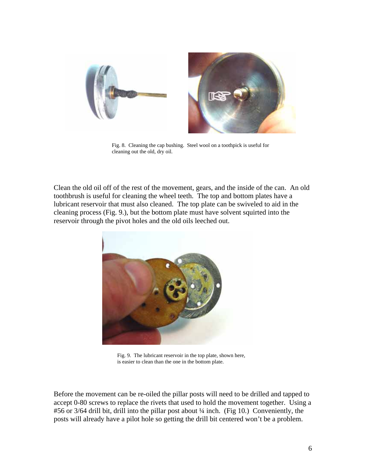



Fig. 8. Cleaning the cap bushing. Steel wool on a toothpick is useful for cleaning out the old, dry oil.

Clean the old oil off of the rest of the movement, gears, and the inside of the can. An old toothbrush is useful for cleaning the wheel teeth. The top and bottom plates have a lubricant reservoir that must also cleaned. The top plate can be swiveled to aid in the cleaning process (Fig. 9.), but the bottom plate must have solvent squirted into the reservoir through the pivot holes and the old oils leeched out.



Fig. 9. The lubricant reservoir in the top plate, shown here, is easier to clean than the one in the bottom plate.

Before the movement can be re-oiled the pillar posts will need to be drilled and tapped to accept 0-80 screws to replace the rivets that used to hold the movement together. Using a #56 or 3/64 drill bit, drill into the pillar post about  $\frac{1}{4}$  inch. (Fig 10.) Conveniently, the posts will already have a pilot hole so getting the drill bit centered won't be a problem.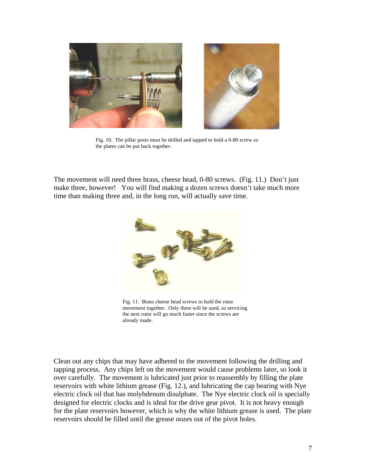

Fig. 10. The pillar posts must be drilled and tapped to hold a 0-80 screw so the plates can be put back together.

The movement will need three brass, cheese head, 0-80 screws. (Fig. 11.) Don't just make three, however! You will find making a dozen screws doesn't take much more time than making three and, in the long run, will actually save time.



Fig. 11. Brass cheese head screws to hold the rotor movement together. Only three will be used, so servicing the next rotor will go much faster since the screws are already made.

Clean out any chips that may have adhered to the movement following the drilling and tapping process. Any chips left on the movement would cause problems later, so look it over carefully. The movement is lubricated just prior to reassembly by filling the plate reservoirs with white lithium grease (Fig. 12.), and lubricating the cap bearing with Nye electric clock oil that has molybdenum disulphate. The Nye electric clock oil is specially designed for electric clocks and is ideal for the drive gear pivot. It is not heavy enough for the plate reservoirs however, which is why the white lithium grease is used. The plate reservoirs should be filled until the grease oozes out of the pivot holes.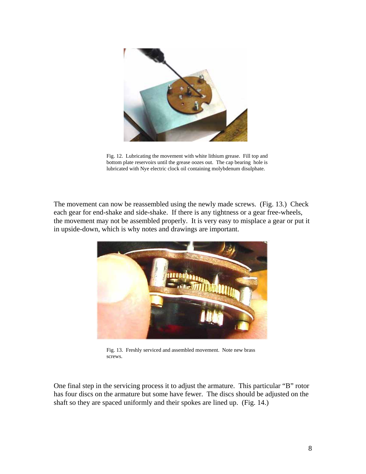

Fig. 12. Lubricating the movement with white lithium grease. Fill top and bottom plate reservoirs until the grease oozes out. The cap bearing hole is lubricated with Nye electric clock oil containing molybdenum disulphate.

The movement can now be reassembled using the newly made screws. (Fig. 13.) Check each gear for end-shake and side-shake. If there is any tightness or a gear free-wheels, the movement may not be assembled properly. It is very easy to misplace a gear or put it in upside-down, which is why notes and drawings are important.



Fig. 13. Freshly serviced and assembled movement. Note new brass screws.

One final step in the servicing process it to adjust the armature. This particular "B" rotor has four discs on the armature but some have fewer. The discs should be adjusted on the shaft so they are spaced uniformly and their spokes are lined up. (Fig. 14.)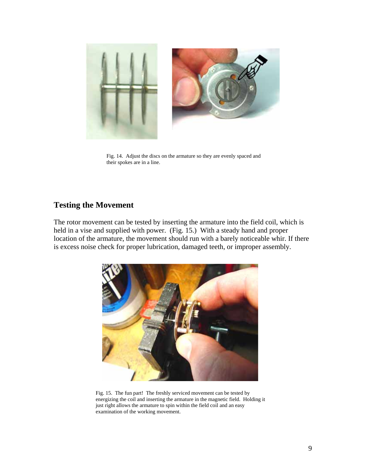

Fig. 14. Adjust the discs on the armature so they are evenly spaced and their spokes are in a line.

### **Testing the Movement**

The rotor movement can be tested by inserting the armature into the field coil, which is held in a vise and supplied with power. (Fig. 15.) With a steady hand and proper location of the armature, the movement should run with a barely noticeable whir. If there is excess noise check for proper lubrication, damaged teeth, or improper assembly.



Fig. 15. The fun part! The freshly serviced movement can be tested by energizing the coil and inserting the armature in the magnetic field. Holding it just right allows the armature to spin within the field coil and an easy examination of the working movement.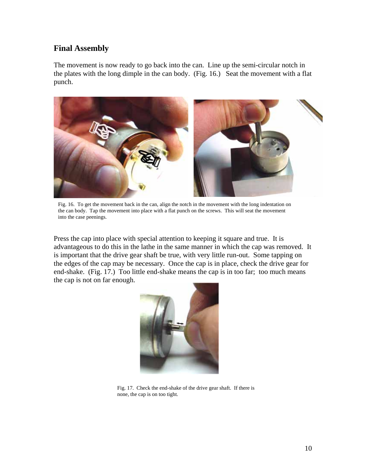### **Final Assembly**

The movement is now ready to go back into the can. Line up the semi-circular notch in the plates with the long dimple in the can body. (Fig. 16.) Seat the movement with a flat punch.



Fig. 16. To get the movement back in the can, align the notch in the movement with the long indentation on the can body. Tap the movement into place with a flat punch on the screws. This will seat the movement into the case peenings.

Press the cap into place with special attention to keeping it square and true. It is advantageous to do this in the lathe in the same manner in which the cap was removed. It is important that the drive gear shaft be true, with very little run-out. Some tapping on the edges of the cap may be necessary. Once the cap is in place, check the drive gear for end-shake. (Fig. 17.) Too little end-shake means the cap is in too far; too much means the cap is not on far enough.



Fig. 17. Check the end-shake of the drive gear shaft. If there is none, the cap is on too tight.